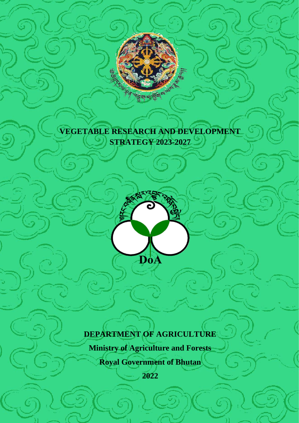

G

E REAL PARTY



# **DEPARTMENT OF AGRICULTURE**

**Ministry of Agriculture and Forests**

**Royal Government of Bhutan**

**2022**

1

i.

ြ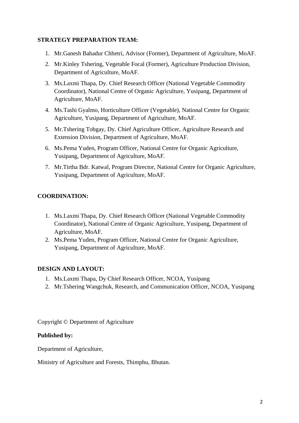# **STRATEGY PREPARATION TEAM:**

- 1. Mr.Ganesh Bahadur Chhetri, Advisor (Former), Department of Agriculture, MoAF.
- 2. Mr.Kinley Tshering, Vegetable Focal (Former), Agriculture Production Division, Department of Agriculture, MoAF.
- 3. Ms.Laxmi Thapa, Dy. Chief Research Officer (National Vegetable Commodity Coordinator), National Centre of Organic Agriculture, Yusipang, Department of Agriculture, MoAF.
- 4. Ms.Tashi Gyalmo, Horticulture Officer (Vegetable), National Centre for Organic Agriculture, Yusipang, Department of Agriculture, MoAF.
- 5. Mr.Tshering Tobgay, Dy. Chief Agriculture Officer, Agriculture Research and Extension Division, Department of Agriculture, MoAF.
- 6. Ms.Pema Yuden, Program Officer, National Centre for Organic Agriculture, Yusipang, Department of Agriculture, MoAF.
- 7. Mr.Tirtha Bdr. Katwal, Program Director, National Centre for Organic Agriculture, Yusipang, Department of Agriculture, MoAF.

# **COORDINATION:**

- 1. Ms.Laxmi Thapa, Dy. Chief Research Officer (National Vegetable Commodity Coordinator), National Centre of Organic Agriculture, Yusipang, Department of Agriculture, MoAF.
- 2. Ms.Pema Yuden, Program Officer, National Centre for Organic Agriculture, Yusipang, Department of Agriculture, MoAF.

# **DESIGN AND LAYOUT:**

- 1. Ms.Laxmi Thapa, Dy Chief Research Officer, NCOA, Yusipang
- 2. Mr.Tshering Wangchuk, Research, and Communication Officer, NCOA, Yusipang

Copyright © Department of Agriculture

# **Published by:**

Department of Agriculture,

Ministry of Agriculture and Forests, Thimphu, Bhutan.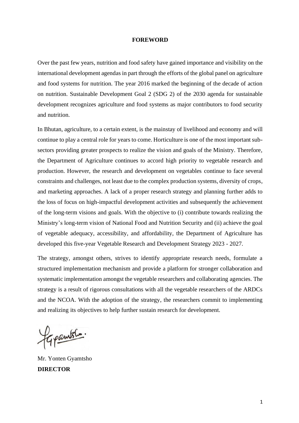#### **FOREWORD**

Over the past few years, nutrition and food safety have gained importance and visibility on the international development agendas in part through the efforts of the global panel on agriculture and food systems for nutrition. The year 2016 marked the beginning of the decade of action on nutrition. Sustainable Development Goal 2 (SDG 2) of the 2030 agenda for sustainable development recognizes agriculture and food systems as major contributors to food security and nutrition.

In Bhutan, agriculture, to a certain extent, is the mainstay of livelihood and economy and will continue to play a central role for years to come. Horticulture is one of the most important subsectors providing greater prospects to realize the vision and goals of the Ministry. Therefore, the Department of Agriculture continues to accord high priority to vegetable research and production. However, the research and development on vegetables continue to face several constraints and challenges, not least due to the complex production systems, diversity of crops, and marketing approaches. A lack of a proper research strategy and planning further adds to the loss of focus on high-impactful development activities and subsequently the achievement of the long-term visions and goals. With the objective to (i) contribute towards realizing the Ministry's long-term vision of National Food and Nutrition Security and (ii) achieve the goal of vegetable adequacy, accessibility, and affordability, the Department of Agriculture has developed this five-year Vegetable Research and Development Strategy 2023 - 2027.

The strategy, amongst others, strives to identify appropriate research needs, formulate a structured implementation mechanism and provide a platform for stronger collaboration and systematic implementation amongst the vegetable researchers and collaborating agencies. The strategy is a result of rigorous consultations with all the vegetable researchers of the ARDCs and the NCOA. With the adoption of the strategy, the researchers commit to implementing and realizing its objectives to help further sustain research for development.

fgrantshe.

Mr. Yonten Gyamtsho **DIRECTOR**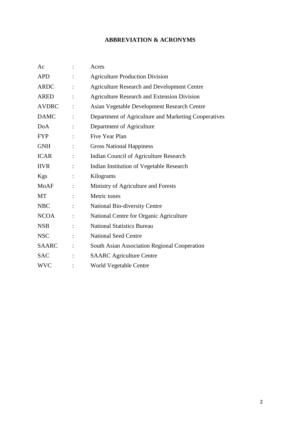# **ABBREVIATION & ACRONYMS**

| Ac           |                | Acres                                                |
|--------------|----------------|------------------------------------------------------|
| <b>APD</b>   |                | <b>Agriculture Production Division</b>               |
| <b>ARDC</b>  |                | <b>Agriculture Research and Development Centre</b>   |
| <b>ARED</b>  |                | <b>Agriculture Research and Extension Division</b>   |
| <b>AVDRC</b> |                | Asian Vegetable Development Research Centre          |
| <b>DAMC</b>  |                | Department of Agriculture and Marketing Cooperatives |
| DoA          |                | Department of Agriculture                            |
| <b>FYP</b>   |                | <b>Five Year Plan</b>                                |
| <b>GNH</b>   |                | <b>Gross National Happiness</b>                      |
| <b>ICAR</b>  |                | <b>Indian Council of Agriculture Research</b>        |
| <b>IIVR</b>  |                | Indian Institution of Vegetable Research             |
| Kgs          |                | Kilograms                                            |
| <b>MoAF</b>  | $\ddot{\cdot}$ | Ministry of Agriculture and Forests                  |
| MT           |                | Metric tones                                         |
| <b>NBC</b>   |                | <b>National Bio-diversity Centre</b>                 |
| <b>NCOA</b>  |                | National Centre for Organic Agriculture              |
| <b>NSB</b>   |                | <b>National Statistics Bureau</b>                    |
| <b>NSC</b>   |                | <b>National Seed Centre</b>                          |
| <b>SAARC</b> | $\ddot{\cdot}$ | South Asian Association Regional Cooperation         |
| <b>SAC</b>   |                | <b>SAARC</b> Agriculture Centre                      |
| <b>WVC</b>   |                | <b>World Vegetable Centre</b>                        |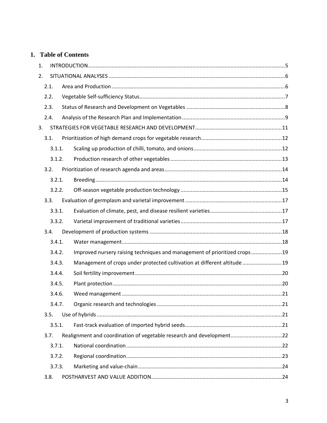# **1. Table of Contents**

| 1. |        |  |                                                                           |  |
|----|--------|--|---------------------------------------------------------------------------|--|
| 2. |        |  |                                                                           |  |
|    | 2.1.   |  |                                                                           |  |
|    | 2.2.   |  |                                                                           |  |
|    | 2.3.   |  |                                                                           |  |
|    | 2.4.   |  |                                                                           |  |
| 3. |        |  |                                                                           |  |
|    | 3.1.   |  |                                                                           |  |
|    | 3.1.1. |  |                                                                           |  |
|    | 3.1.2. |  |                                                                           |  |
|    | 3.2.   |  |                                                                           |  |
|    | 3.2.1. |  |                                                                           |  |
|    | 3.2.2. |  |                                                                           |  |
|    | 3.3.   |  |                                                                           |  |
|    | 3.3.1. |  |                                                                           |  |
|    | 3.3.2. |  |                                                                           |  |
|    | 3.4.   |  |                                                                           |  |
|    | 3.4.1. |  |                                                                           |  |
|    | 3.4.2. |  | Improved nursery raising techniques and management of prioritized crops19 |  |
|    | 3.4.3. |  | Management of crops under protected cultivation at different altitude 19  |  |
|    | 3.4.4. |  |                                                                           |  |
|    | 3.4.5. |  |                                                                           |  |
|    | 3.4.6. |  |                                                                           |  |
|    | 3.4.7. |  |                                                                           |  |
|    | 3.5.   |  |                                                                           |  |
|    | 3.5.1. |  |                                                                           |  |
|    | 3.7.   |  | Realignment and coordination of vegetable research and development22      |  |
|    | 3.7.1. |  |                                                                           |  |
|    | 3.7.2. |  |                                                                           |  |
|    | 3.7.3. |  |                                                                           |  |
|    | 3.8.   |  |                                                                           |  |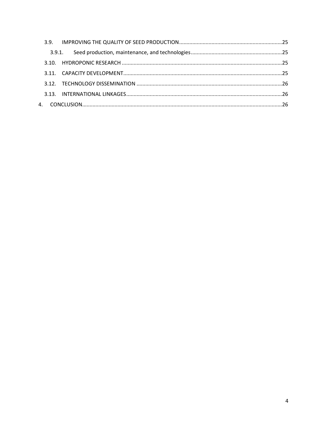| 3.9.1. |  |
|--------|--|
|        |  |
|        |  |
|        |  |
|        |  |
|        |  |
|        |  |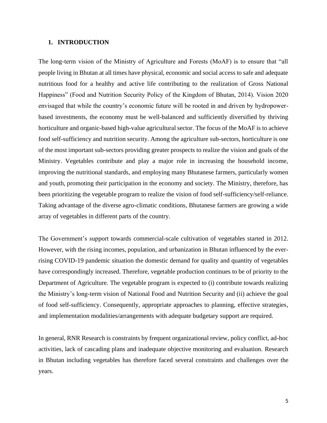### <span id="page-6-0"></span>**1. INTRODUCTION**

The long-term vision of the Ministry of Agriculture and Forests (MoAF) is to ensure that "all people living in Bhutan at all times have physical, economic and social access to safe and adequate nutritious food for a healthy and active life contributing to the realization of Gross National Happiness" (Food and Nutrition Security Policy of the Kingdom of Bhutan, 2014). Vision 2020 envisaged that while the country's economic future will be rooted in and driven by hydropowerbased investments, the economy must be well-balanced and sufficiently diversified by thriving horticulture and organic-based high-value agricultural sector. The focus of the MoAF is to achieve food self-sufficiency and nutrition security. Among the agriculture sub-sectors, horticulture is one of the most important sub-sectors providing greater prospects to realize the vision and goals of the Ministry. Vegetables contribute and play a major role in increasing the household income, improving the nutritional standards, and employing many Bhutanese farmers, particularly women and youth, promoting their participation in the economy and society. The Ministry, therefore, has been prioritizing the vegetable program to realize the vision of food self-sufficiency/self-reliance. Taking advantage of the diverse agro-climatic conditions, Bhutanese farmers are growing a wide array of vegetables in different parts of the country.

The Government's support towards commercial-scale cultivation of vegetables started in 2012. However, with the rising incomes, population, and urbanization in Bhutan influenced by the everrising COVID-19 pandemic situation the domestic demand for quality and quantity of vegetables have correspondingly increased. Therefore, vegetable production continues to be of priority to the Department of Agriculture. The vegetable program is expected to (i) contribute towards realizing the Ministry's long-term vision of National Food and Nutrition Security and (ii) achieve the goal of food self-sufficiency. Consequently, appropriate approaches to planning, effective strategies, and implementation modalities/arrangements with adequate budgetary support are required.

In general, RNR Research is constraints by frequent organizational review, policy conflict, ad-hoc activities, lack of cascading plans and inadequate objective monitoring and evaluation. Research in Bhutan including vegetables has therefore faced several constraints and challenges over the years.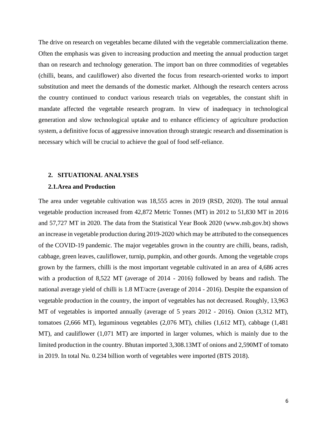The drive on research on vegetables became diluted with the vegetable commercialization theme. Often the emphasis was given to increasing production and meeting the annual production target than on research and technology generation. The import ban on three commodities of vegetables (chilli, beans, and cauliflower) also diverted the focus from research-oriented works to import substitution and meet the demands of the domestic market. Although the research centers across the country continued to conduct various research trials on vegetables, the constant shift in mandate affected the vegetable research program. In view of inadequacy in technological generation and slow technological uptake and to enhance efficiency of agriculture production system, a definitive focus of aggressive innovation through strategic research and dissemination is necessary which will be crucial to achieve the goal of food self-reliance.

#### <span id="page-7-0"></span>**2. SITUATIONAL ANALYSES**

#### <span id="page-7-1"></span>**2.1.Area and Production**

The area under vegetable cultivation was 18,555 acres in 2019 (RSD, 2020). The total annual vegetable production increased from 42,872 Metric Tonnes (MT) in 2012 to 51,830 MT in 2016 and 57,727 MT in 2020. The data from the Statistical Year Book 2020 (www.nsb.gov.bt) shows an increase in vegetable production during 2019-2020 which may be attributed to the consequences of the COVID-19 pandemic. The major vegetables grown in the country are chilli, beans, radish, cabbage, green leaves, cauliflower, turnip, pumpkin, and other gourds. Among the vegetable crops grown by the farmers, chilli is the most important vegetable cultivated in an area of 4,686 acres with a production of 8,522 MT (average of 2014 - 2016) followed by beans and radish. The national average yield of chilli is 1.8 MT/acre (average of 2014 - 2016). Despite the expansion of vegetable production in the country, the import of vegetables has not decreased. Roughly, 13,963 MT of vegetables is imported annually (average of 5 years 2012 - 2016). Onion (3,312 MT), tomatoes (2,666 MT), leguminous vegetables (2,076 MT), chilies (1,612 MT), cabbage (1,481 MT), and cauliflower (1,071 MT) are imported in larger volumes, which is mainly due to the limited production in the country. Bhutan imported 3,308.13MT of onions and 2,590MT of tomato in 2019. In total Nu. 0.234 billion worth of vegetables were imported (BTS 2018).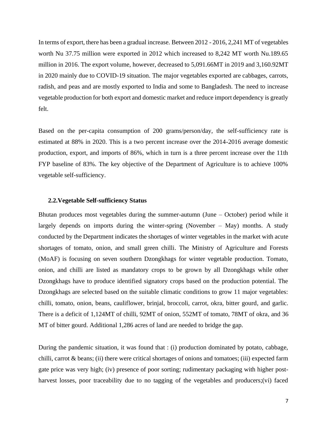In terms of export, there has been a gradual increase. Between 2012 - 2016, 2,241 MT of vegetables worth Nu 37.75 million were exported in 2012 which increased to 8,242 MT worth Nu.189.65 million in 2016. The export volume, however, decreased to 5,091.66MT in 2019 and 3,160.92MT in 2020 mainly due to COVID-19 situation. The major vegetables exported are cabbages, carrots, radish, and peas and are mostly exported to India and some to Bangladesh. The need to increase vegetable production for both export and domestic market and reduce import dependency is greatly felt.

Based on the per-capita consumption of 200 grams/person/day, the self-sufficiency rate is estimated at 88% in 2020. This is a two percent increase over the 2014-2016 average domestic production, export, and imports of 86%, which in turn is a three percent increase over the 11th FYP baseline of 83%. The key objective of the Department of Agriculture is to achieve 100% vegetable self-sufficiency.

#### <span id="page-8-0"></span>**2.2.Vegetable Self-sufficiency Status**

Bhutan produces most vegetables during the summer-autumn (June – October) period while it largely depends on imports during the winter-spring (November – May) months. A study conducted by the Department indicates the shortages of winter vegetables in the market with acute shortages of tomato, onion, and small green chilli. The Ministry of Agriculture and Forests (MoAF) is focusing on seven southern Dzongkhags for winter vegetable production. Tomato, onion, and chilli are listed as mandatory crops to be grown by all Dzongkhags while other Dzongkhags have to produce identified signatory crops based on the production potential. The Dzongkhags are selected based on the suitable climatic conditions to grow 11 major vegetables: chilli, tomato, onion, beans, cauliflower, brinjal, broccoli, carrot, okra, bitter gourd, and garlic. There is a deficit of 1,124MT of chilli, 92MT of onion, 552MT of tomato, 78MT of okra, and 36 MT of bitter gourd. Additional 1,286 acres of land are needed to bridge the gap.

During the pandemic situation, it was found that : (i) production dominated by potato, cabbage, chilli, carrot & beans; (ii) there were critical shortages of onions and tomatoes; (iii) expected farm gate price was very high; (iv) presence of poor sorting; rudimentary packaging with higher postharvest losses, poor traceability due to no tagging of the vegetables and producers; (vi) faced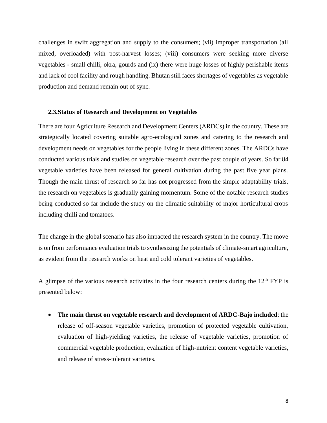challenges in swift aggregation and supply to the consumers; (vii) improper transportation (all mixed, overloaded) with post-harvest losses; (viii) consumers were seeking more diverse vegetables - small chilli, okra, gourds and (ix) there were huge losses of highly perishable items and lack of cool facility and rough handling. Bhutan still faces shortages of vegetables as vegetable production and demand remain out of sync.

#### <span id="page-9-0"></span>**2.3.Status of Research and Development on Vegetables**

There are four Agriculture Research and Development Centers (ARDCs) in the country. These are strategically located covering suitable agro-ecological zones and catering to the research and development needs on vegetables for the people living in these different zones. The ARDCs have conducted various trials and studies on vegetable research over the past couple of years. So far 84 vegetable varieties have been released for general cultivation during the past five year plans. Though the main thrust of research so far has not progressed from the simple adaptability trials, the research on vegetables is gradually gaining momentum. Some of the notable research studies being conducted so far include the study on the climatic suitability of major horticultural crops including chilli and tomatoes.

The change in the global scenario has also impacted the research system in the country. The move is on from performance evaluation trials to synthesizing the potentials of climate-smart agriculture, as evident from the research works on heat and cold tolerant varieties of vegetables.

A glimpse of the various research activities in the four research centers during the  $12<sup>th</sup> FYP$  is presented below:

• **The main thrust on vegetable research and development of ARDC-Bajo included**: the release of off-season vegetable varieties, promotion of protected vegetable cultivation, evaluation of high-yielding varieties, the release of vegetable varieties, promotion of commercial vegetable production, evaluation of high-nutrient content vegetable varieties, and release of stress-tolerant varieties.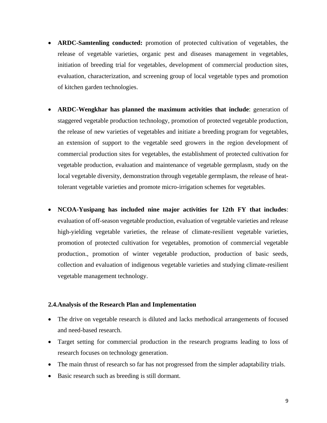- **ARDC-Samtenling conducted:** promotion of protected cultivation of vegetables, the release of vegetable varieties, organic pest and diseases management in vegetables, initiation of breeding trial for vegetables, development of commercial production sites, evaluation, characterization, and screening group of local vegetable types and promotion of kitchen garden technologies.
- **ARDC-Wengkhar has planned the maximum activities that include**: generation of staggered vegetable production technology, promotion of protected vegetable production, the release of new varieties of vegetables and initiate a breeding program for vegetables, an extension of support to the vegetable seed growers in the region development of commercial production sites for vegetables, the establishment of protected cultivation for vegetable production, evaluation and maintenance of vegetable germplasm, study on the local vegetable diversity, demonstration through vegetable germplasm, the release of heattolerant vegetable varieties and promote micro-irrigation schemes for vegetables.
- **NCOA-Yusipang has included nine major activities for 12th FY that includes**: evaluation of off-season vegetable production, evaluation of vegetable varieties and release high-yielding vegetable varieties, the release of climate-resilient vegetable varieties, promotion of protected cultivation for vegetables, promotion of commercial vegetable production., promotion of winter vegetable production, production of basic seeds, collection and evaluation of indigenous vegetable varieties and studying climate-resilient vegetable management technology.

### <span id="page-10-0"></span>**2.4.Analysis of the Research Plan and Implementation**

- The drive on vegetable research is diluted and lacks methodical arrangements of focused and need-based research.
- Target setting for commercial production in the research programs leading to loss of research focuses on technology generation.
- The main thrust of research so far has not progressed from the simpler adaptability trials.
- Basic research such as breeding is still dormant.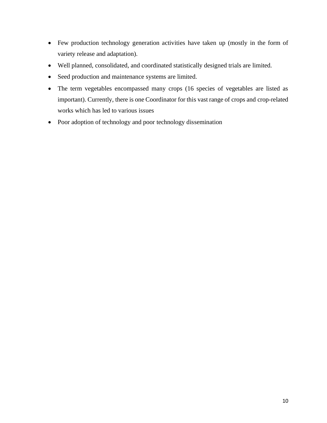- Few production technology generation activities have taken up (mostly in the form of variety release and adaptation).
- Well planned, consolidated, and coordinated statistically designed trials are limited.
- Seed production and maintenance systems are limited.
- The term vegetables encompassed many crops (16 species of vegetables are listed as important). Currently, there is one Coordinator for this vast range of crops and crop-related works which has led to various issues
- Poor adoption of technology and poor technology dissemination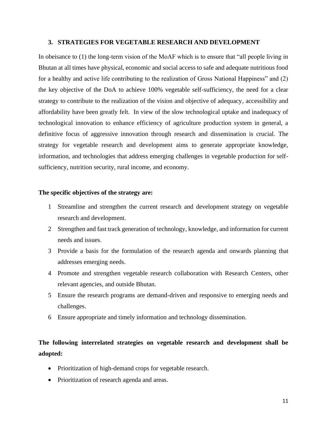### <span id="page-12-0"></span>**3. STRATEGIES FOR VEGETABLE RESEARCH AND DEVELOPMENT**

In obeisance to (1) the long-term vision of the MoAF which is to ensure that "all people living in Bhutan at all times have physical, economic and social access to safe and adequate nutritious food for a healthy and active life contributing to the realization of Gross National Happiness" and (2) the key objective of the DoA to achieve 100% vegetable self-sufficiency, the need for a clear strategy to contribute to the realization of the vision and objective of adequacy, accessibility and affordability have been greatly felt. In view of the slow technological uptake and inadequacy of technological innovation to enhance efficiency of agriculture production system in general, a definitive focus of aggressive innovation through research and dissemination is crucial. The strategy for vegetable research and development aims to generate appropriate knowledge, information, and technologies that address emerging challenges in vegetable production for selfsufficiency, nutrition security, rural income, and economy.

#### **The specific objectives of the strategy are:**

- 1 Streamline and strengthen the current research and development strategy on vegetable research and development.
- 2 Strengthen and fast track generation of technology, knowledge, and information for current needs and issues.
- 3 Provide a basis for the formulation of the research agenda and onwards planning that addresses emerging needs.
- 4 Promote and strengthen vegetable research collaboration with Research Centers, other relevant agencies, and outside Bhutan.
- 5 Ensure the research programs are demand-driven and responsive to emerging needs and challenges.
- 6 Ensure appropriate and timely information and technology dissemination.

# **The following interrelated strategies on vegetable research and development shall be adopted:**

- Prioritization of high-demand crops for vegetable research.
- Prioritization of research agenda and areas.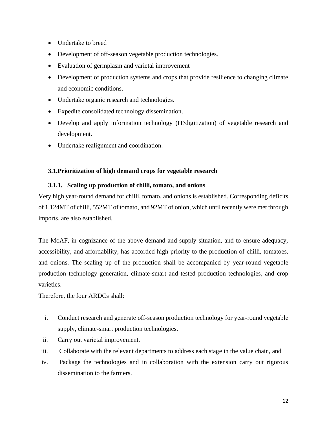- Undertake to breed
- Development of off-season vegetable production technologies.
- Evaluation of germplasm and varietal improvement
- Development of production systems and crops that provide resilience to changing climate and economic conditions.
- Undertake organic research and technologies.
- Expedite consolidated technology dissemination.
- Develop and apply information technology (IT/digitization) of vegetable research and development.
- Undertake realignment and coordination.

# <span id="page-13-0"></span>**3.1.Prioritization of high demand crops for vegetable research**

# <span id="page-13-1"></span>**3.1.1. Scaling up production of chilli, tomato, and onions**

Very high year-round demand for chilli, tomato, and onions is established. Corresponding deficits of 1,124MT of chilli, 552MT of tomato, and 92MT of onion, which until recently were met through imports, are also established.

The MoAF, in cognizance of the above demand and supply situation, and to ensure adequacy, accessibility, and affordability, has accorded high priority to the production of chilli, tomatoes, and onions. The scaling up of the production shall be accompanied by year-round vegetable production technology generation, climate-smart and tested production technologies, and crop varieties.

Therefore, the four ARDCs shall:

- i. Conduct research and generate off-season production technology for year-round vegetable supply, climate-smart production technologies,
- ii. Carry out varietal improvement,
- iii. Collaborate with the relevant departments to address each stage in the value chain, and
- iv. Package the technologies and in collaboration with the extension carry out rigorous dissemination to the farmers.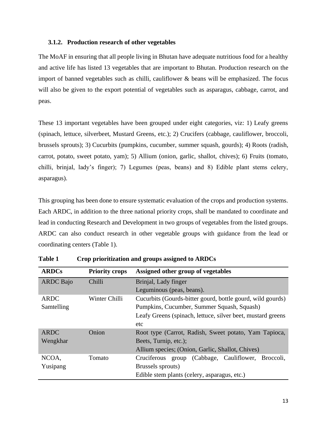## <span id="page-14-0"></span>**3.1.2. Production research of other vegetables**

The MoAF in ensuring that all people living in Bhutan have adequate nutritious food for a healthy and active life has listed 13 vegetables that are important to Bhutan. Production research on the import of banned vegetables such as chilli, cauliflower & beans will be emphasized. The focus will also be given to the export potential of vegetables such as asparagus, cabbage, carrot, and peas.

These 13 important vegetables have been grouped under eight categories, viz: 1) Leafy greens (spinach, lettuce, silverbeet, Mustard Greens, etc.); 2) Crucifers (cabbage, cauliflower, broccoli, brussels sprouts); 3) Cucurbits (pumpkins, cucumber, summer squash, gourds); 4) Roots (radish, carrot, potato, sweet potato, yam); 5) Allium (onion, garlic, shallot, chives); 6) Fruits (tomato, chilli, brinjal, lady's finger); 7) Legumes (peas, beans) and 8) Edible plant stems celery, asparagus).

This grouping has been done to ensure systematic evaluation of the crops and production systems. Each ARDC, in addition to the three national priority crops, shall be mandated to coordinate and lead in conducting Research and Development in two groups of vegetables from the listed groups. ARDC can also conduct research in other vegetable groups with guidance from the lead or coordinating centers (Table 1).

| <b>ARDCs</b>     | <b>Priority crops</b>                            | Assigned other group of vegetables                          |  |  |
|------------------|--------------------------------------------------|-------------------------------------------------------------|--|--|
| <b>ARDC</b> Bajo | Chilli                                           | Brinjal, Lady finger                                        |  |  |
|                  |                                                  | Leguminous (peas, beans).                                   |  |  |
| <b>ARDC</b>      | Winter Chilli                                    | Cucurbits (Gourds-bitter gourd, bottle gourd, wild gourds)  |  |  |
| Samtelling       |                                                  | Pumpkins, Cucumber, Summer Squash, Squash)                  |  |  |
|                  |                                                  | Leafy Greens (spinach, lettuce, silver beet, mustard greens |  |  |
|                  |                                                  | etc                                                         |  |  |
| <b>ARDC</b>      | Onion                                            | Root type (Carrot, Radish, Sweet potato, Yam Tapioca,       |  |  |
| Wengkhar         |                                                  | Beets, Turnip, etc.);                                       |  |  |
|                  | Allium species; (Onion, Garlic, Shallot, Chives) |                                                             |  |  |
| NCOA,            | Tomato                                           | (Cabbage, Cauliflower, Broccoli,<br>Cruciferous<br>group    |  |  |
| Yusipang         |                                                  | Brussels sprouts)                                           |  |  |
|                  | Edible stem plants (celery, asparagus, etc.)     |                                                             |  |  |

**Table 1 Crop prioritization and groups assigned to ARDCs**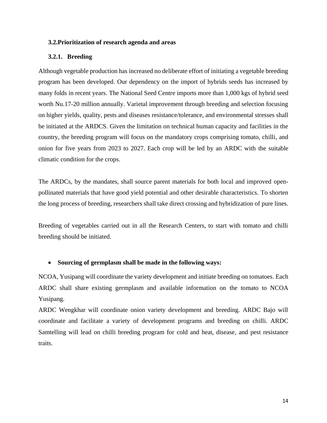## <span id="page-15-0"></span>**3.2.Prioritization of research agenda and areas**

## <span id="page-15-1"></span>**3.2.1. Breeding**

Although vegetable production has increased no deliberate effort of initiating a vegetable breeding program has been developed. Our dependency on the import of hybrids seeds has increased by many folds in recent years. The National Seed Centre imports more than 1,000 kgs of hybrid seed worth Nu.17-20 million annually. Varietal improvement through breeding and selection focusing on higher yields, quality, pests and diseases resistance/tolerance, and environmental stresses shall be initiated at the ARDCS. Given the limitation on technical human capacity and facilities in the country, the breeding program will focus on the mandatory crops comprising tomato, chilli, and onion for five years from 2023 to 2027. Each crop will be led by an ARDC with the suitable climatic condition for the crops.

The ARDCs, by the mandates, shall source parent materials for both local and improved openpollinated materials that have good yield potential and other desirable characteristics. To shorten the long process of breeding, researchers shall take direct crossing and hybridization of pure lines.

Breeding of vegetables carried out in all the Research Centers, to start with tomato and chilli breeding should be initiated.

# • **Sourcing of germplasm shall be made in the following ways:**

NCOA, Yusipang will coordinate the variety development and initiate breeding on tomatoes. Each ARDC shall share existing germplasm and available information on the tomato to NCOA Yusipang.

ARDC Wengkhar will coordinate onion variety development and breeding. ARDC Bajo will coordinate and facilitate a variety of development programs and breeding on chilli. ARDC Samtelling will lead on chilli breeding program for cold and heat, disease, and pest resistance traits.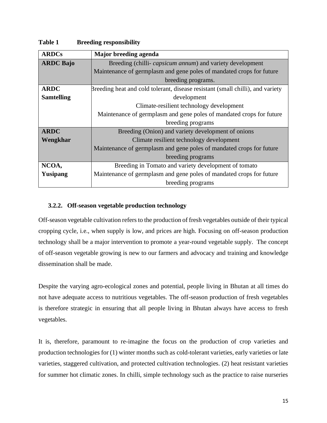| <b>ARDCs</b>      | Major breeding agenda                                                          |  |  |
|-------------------|--------------------------------------------------------------------------------|--|--|
| <b>ARDC</b> Bajo  | Breeding (chilli- <i>capsicum annum</i> ) and variety development              |  |  |
|                   | Maintenance of germplasm and gene poles of mandated crops for future           |  |  |
|                   | breeding programs.                                                             |  |  |
| <b>ARDC</b>       | Breeding heat and cold tolerant, disease resistant (small chilli), and variety |  |  |
| <b>Samtelling</b> | development                                                                    |  |  |
|                   | Climate-resilient technology development                                       |  |  |
|                   | Maintenance of germplasm and gene poles of mandated crops for future           |  |  |
|                   | breeding programs                                                              |  |  |
| <b>ARDC</b>       | Breeding (Onion) and variety development of onions                             |  |  |
| Wengkhar          | Climate resilient technology development                                       |  |  |
|                   | Maintenance of germplasm and gene poles of mandated crops for future           |  |  |
|                   | breeding programs                                                              |  |  |
| NCOA,             | Breeding in Tomato and variety development of tomato                           |  |  |
| Yusipang          | Maintenance of germplasm and gene poles of mandated crops for future           |  |  |
|                   | breeding programs                                                              |  |  |

**Table 1 Breeding responsibility**

# <span id="page-16-0"></span>**3.2.2. Off-season vegetable production technology**

Off-season vegetable cultivation refers to the production of fresh vegetables outside of their typical cropping cycle, i.e., when supply is low, and prices are high. Focusing on off-season production technology shall be a major intervention to promote a year-round vegetable supply. The concept of off-season vegetable growing is new to our farmers and advocacy and training and knowledge dissemination shall be made.

Despite the varying agro-ecological zones and potential, people living in Bhutan at all times do not have adequate access to nutritious vegetables. The off-season production of fresh vegetables is therefore strategic in ensuring that all people living in Bhutan always have access to fresh vegetables.

It is, therefore, paramount to re-imagine the focus on the production of crop varieties and production technologies for (1) winter months such as cold-tolerant varieties, early varieties or late varieties, staggered cultivation, and protected cultivation technologies. (2) heat resistant varieties for summer hot climatic zones. In chilli, simple technology such as the practice to raise nurseries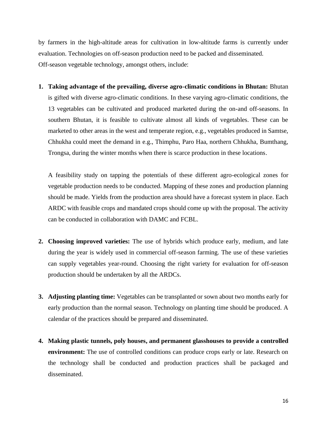by farmers in the high-altitude areas for cultivation in low-altitude farms is currently under evaluation. Technologies on off-season production need to be packed and disseminated. Off-season vegetable technology, amongst others, include:

**1. Taking advantage of the prevailing, diverse agro-climatic conditions in Bhutan:** Bhutan is gifted with diverse agro-climatic conditions. In these varying agro-climatic conditions, the 13 vegetables can be cultivated and produced marketed during the on-and off-seasons. In southern Bhutan, it is feasible to cultivate almost all kinds of vegetables. These can be marketed to other areas in the west and temperate region, e.g., vegetables produced in Samtse, Chhukha could meet the demand in e.g., Thimphu, Paro Haa, northern Chhukha, Bumthang, Trongsa, during the winter months when there is scarce production in these locations.

A feasibility study on tapping the potentials of these different agro-ecological zones for vegetable production needs to be conducted. Mapping of these zones and production planning should be made. Yields from the production area should have a forecast system in place. Each ARDC with feasible crops and mandated crops should come up with the proposal. The activity can be conducted in collaboration with DAMC and FCBL.

- **2. Choosing improved varieties:** The use of hybrids which produce early, medium, and late during the year is widely used in commercial off-season farming. The use of these varieties can supply vegetables year-round. Choosing the right variety for evaluation for off-season production should be undertaken by all the ARDCs.
- **3. Adjusting planting time:** Vegetables can be transplanted or sown about two months early for early production than the normal season. Technology on planting time should be produced. A calendar of the practices should be prepared and disseminated.
- **4. Making plastic tunnels, poly houses, and permanent glasshouses to provide a controlled environment:** The use of controlled conditions can produce crops early or late. Research on the technology shall be conducted and production practices shall be packaged and disseminated.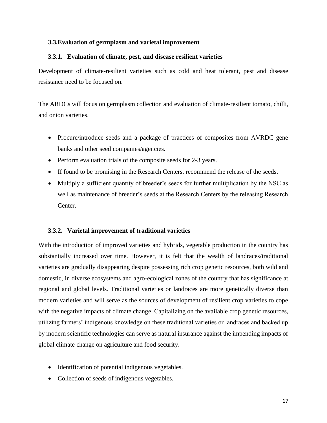# <span id="page-18-0"></span>**3.3.Evaluation of germplasm and varietal improvement**

### <span id="page-18-1"></span>**3.3.1. Evaluation of climate, pest, and disease resilient varieties**

Development of climate-resilient varieties such as cold and heat tolerant, pest and disease resistance need to be focused on.

The ARDCs will focus on germplasm collection and evaluation of climate-resilient tomato, chilli, and onion varieties.

- Procure/introduce seeds and a package of practices of composites from AVRDC gene banks and other seed companies/agencies.
- Perform evaluation trials of the composite seeds for 2-3 years.
- If found to be promising in the Research Centers, recommend the release of the seeds.
- Multiply a sufficient quantity of breeder's seeds for further multiplication by the NSC as well as maintenance of breeder's seeds at the Research Centers by the releasing Research Center.

# <span id="page-18-2"></span>**3.3.2. Varietal improvement of traditional varieties**

With the introduction of improved varieties and hybrids, vegetable production in the country has substantially increased over time. However, it is felt that the wealth of landraces/traditional varieties are gradually disappearing despite possessing rich crop genetic resources, both wild and domestic, in diverse ecosystems and agro-ecological zones of the country that has significance at regional and global levels. Traditional varieties or landraces are more genetically diverse than modern varieties and will serve as the sources of development of resilient crop varieties to cope with the negative impacts of climate change. Capitalizing on the available crop genetic resources, utilizing farmers' indigenous knowledge on these traditional varieties or landraces and backed up by modern scientific technologies can serve as natural insurance against the impending impacts of global climate change on agriculture and food security.

- Identification of potential indigenous vegetables.
- Collection of seeds of indigenous vegetables.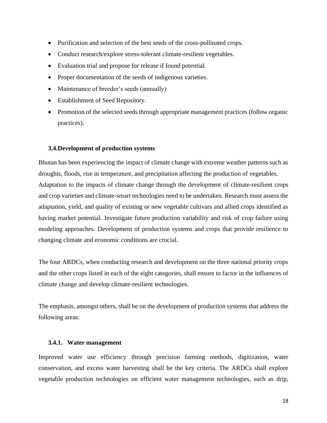- Purification and selection of the best seeds of the cross-pollinated crops.
- Conduct research/explore stress-tolerant climate-resilient vegetables.
- Evaluation trial and propose for release if found potential.
- Proper documentation of the seeds of indigenous varieties.
- Maintenance of breeder's seeds (annually)
- Establishment of Seed Repository.
- Promotion of the selected seeds through appropriate management practices (follow organic practices).

### <span id="page-19-0"></span>**3.4.Development of production systems**

Bhutan has been experiencing the impact of climate change with extreme weather patterns such as droughts, floods, rise in temperature, and precipitation affecting the production of vegetables. Adaptation to the impacts of climate change through the development of climate-resilient crops and crop varieties and climate-smart technologies need to be undertaken. Research must assess the adaptation, yield, and quality of existing or new vegetable cultivars and allied crops identified as having market potential. Investigate future production variability and risk of crop failure using modeling approaches. Development of production systems and crops that provide resilience to changing climate and economic conditions are crucial.

The four ARDCs, when conducting research and development on the three national priority crops and the other crops listed in each of the eight categories, shall ensure to factor in the influences of climate change and develop climate-resilient technologies.

The emphasis, amongst others, shall be on the development of production systems that address the following areas:

#### <span id="page-19-1"></span>**3.4.1. Water management**

Improved water use efficiency through precision farming methods, digitization, water conservation, and excess water harvesting shall be the key criteria. The ARDCs shall explore vegetable production technologies on efficient water management technologies, such as drip,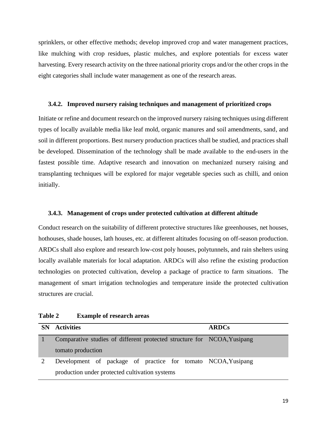sprinklers, or other effective methods; develop improved crop and water management practices, like mulching with crop residues, plastic mulches, and explore potentials for excess water harvesting. Every research activity on the three national priority crops and/or the other crops in the eight categories shall include water management as one of the research areas.

#### <span id="page-20-0"></span>**3.4.2. Improved nursery raising techniques and management of prioritized crops**

Initiate or refine and document research on the improved nursery raising techniques using different types of locally available media like leaf mold, organic manures and soil amendments, sand, and soil in different proportions. Best nursery production practices shall be studied, and practices shall be developed. Dissemination of the technology shall be made available to the end-users in the fastest possible time. Adaptive research and innovation on mechanized nursery raising and transplanting techniques will be explored for major vegetable species such as chilli, and onion initially.

### <span id="page-20-1"></span>**3.4.3. Management of crops under protected cultivation at different altitude**

Conduct research on the suitability of different protective structures like greenhouses, net houses, hothouses, shade houses, lath houses, etc. at different altitudes focusing on off-season production. ARDCs shall also explore and research low-cost poly houses, polytunnels, and rain shelters using locally available materials for local adaptation. ARDCs will also refine the existing production technologies on protected cultivation, develop a package of practice to farm situations. The management of smart irrigation technologies and temperature inside the protected cultivation structures are crucial.

| <b>Table 2</b> | <b>Example of research areas</b> |
|----------------|----------------------------------|
|----------------|----------------------------------|

| <b>SN</b> Activities                                                    | <b>ARDCs</b> |  |  |
|-------------------------------------------------------------------------|--------------|--|--|
| Comparative studies of different protected structure for NCOA, Yusipang |              |  |  |
| tomato production                                                       |              |  |  |
| Development of package of practice for tomato NCOA, Yusipang            |              |  |  |
| production under protected cultivation systems                          |              |  |  |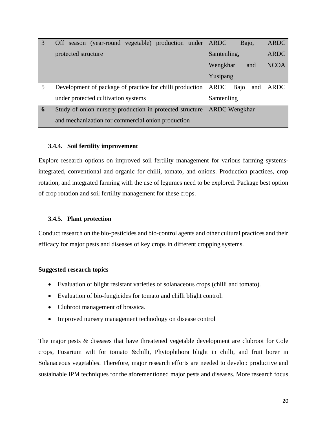|                | Off season (year-round vegetable) production under ARDC                | Bajo,<br><b>ARDC</b>           |
|----------------|------------------------------------------------------------------------|--------------------------------|
|                | protected structure                                                    | Samtenling,<br>ARDC            |
|                |                                                                        | <b>NCOA</b><br>Wengkhar<br>and |
|                |                                                                        | Yusipang                       |
| $\overline{5}$ | Development of package of practice for chilli production ARDC Bajo     | ARDC<br>and                    |
|                | under protected cultivation systems                                    | Samtenling                     |
| 6              | Study of onion nursery production in protected structure ARDC Wengkhar |                                |
|                | and mechanization for commercial onion production                      |                                |

# <span id="page-21-0"></span>**3.4.4. Soil fertility improvement**

Explore research options on improved soil fertility management for various farming systemsintegrated, conventional and organic for chilli, tomato, and onions. Production practices, crop rotation, and integrated farming with the use of legumes need to be explored. Package best option of crop rotation and soil fertility management for these crops.

### <span id="page-21-1"></span>**3.4.5. Plant protection**

Conduct research on the bio-pesticides and bio-control agents and other cultural practices and their efficacy for major pests and diseases of key crops in different cropping systems.

### **Suggested research topics**

- Evaluation of blight resistant varieties of solanaceous crops (chilli and tomato).
- Evaluation of bio-fungicides for tomato and chilli blight control.
- Clubroot management of brassica.
- Improved nursery management technology on disease control

The major pests & diseases that have threatened vegetable development are clubroot for Cole crops, Fusarium wilt for tomato &chilli, Phytophthora blight in chilli, and fruit borer in Solanaceous vegetables. Therefore, major research efforts are needed to develop productive and sustainable IPM techniques for the aforementioned major pests and diseases. More research focus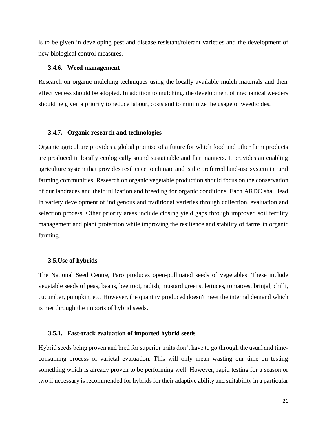is to be given in developing pest and disease resistant/tolerant varieties and the development of new biological control measures.

#### <span id="page-22-0"></span>**3.4.6. Weed management**

Research on organic mulching techniques using the locally available mulch materials and their effectiveness should be adopted. In addition to mulching, the development of mechanical weeders should be given a priority to reduce labour, costs and to minimize the usage of weedicides.

#### <span id="page-22-1"></span>**3.4.7. Organic research and technologies**

Organic agriculture provides a global promise of a future for which food and other farm products are produced in locally ecologically sound sustainable and fair manners. It provides an enabling agriculture system that provides resilience to climate and is the preferred land-use system in rural farming communities. Research on organic vegetable production should focus on the conservation of our landraces and their utilization and breeding for organic conditions. Each ARDC shall lead in variety development of indigenous and traditional varieties through collection, evaluation and selection process. Other priority areas include closing yield gaps through improved soil fertility management and plant protection while improving the resilience and stability of farms in organic farming.

#### <span id="page-22-2"></span>**3.5.Use of hybrids**

The National Seed Centre, Paro produces open-pollinated seeds of vegetables. These include vegetable seeds of peas, beans, beetroot, radish, mustard greens, lettuces, tomatoes, brinjal, chilli, cucumber, pumpkin, etc. However, the quantity produced doesn't meet the internal demand which is met through the imports of hybrid seeds.

#### <span id="page-22-3"></span>**3.5.1. Fast-track evaluation of imported hybrid seeds**

Hybrid seeds being proven and bred for superior traits don't have to go through the usual and timeconsuming process of varietal evaluation. This will only mean wasting our time on testing something which is already proven to be performing well. However, rapid testing for a season or two if necessary is recommended for hybrids for their adaptive ability and suitability in a particular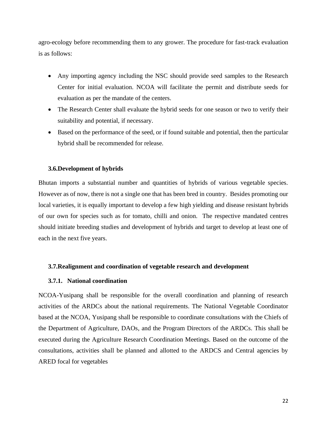agro-ecology before recommending them to any grower. The procedure for fast-track evaluation is as follows:

- Any importing agency including the NSC should provide seed samples to the Research Center for initial evaluation. NCOA will facilitate the permit and distribute seeds for evaluation as per the mandate of the centers.
- The Research Center shall evaluate the hybrid seeds for one season or two to verify their suitability and potential, if necessary.
- Based on the performance of the seed, or if found suitable and potential, then the particular hybrid shall be recommended for release.

### **3.6.Development of hybrids**

Bhutan imports a substantial number and quantities of hybrids of various vegetable species. However as of now, there is not a single one that has been bred in country. Besides promoting our local varieties, it is equally important to develop a few high yielding and disease resistant hybrids of our own for species such as for tomato, chilli and onion. The respective mandated centres should initiate breeding studies and development of hybrids and target to develop at least one of each in the next five years.

#### <span id="page-23-0"></span>**3.7.Realignment and coordination of vegetable research and development**

### <span id="page-23-1"></span>**3.7.1. National coordination**

NCOA-Yusipang shall be responsible for the overall coordination and planning of research activities of the ARDCs about the national requirements. The National Vegetable Coordinator based at the NCOA, Yusipang shall be responsible to coordinate consultations with the Chiefs of the Department of Agriculture, DAOs, and the Program Directors of the ARDCs. This shall be executed during the Agriculture Research Coordination Meetings. Based on the outcome of the consultations, activities shall be planned and allotted to the ARDCS and Central agencies by ARED focal for vegetables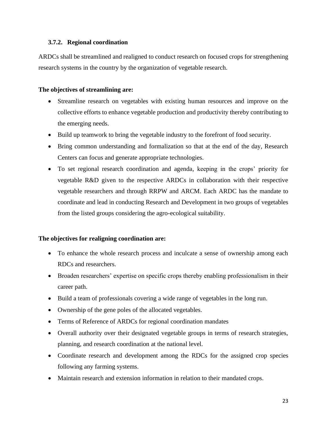# <span id="page-24-0"></span>**3.7.2. Regional coordination**

ARDCs shall be streamlined and realigned to conduct research on focused crops for strengthening research systems in the country by the organization of vegetable research.

# **The objectives of streamlining are:**

- Streamline research on vegetables with existing human resources and improve on the collective efforts to enhance vegetable production and productivity thereby contributing to the emerging needs.
- Build up teamwork to bring the vegetable industry to the forefront of food security.
- Bring common understanding and formalization so that at the end of the day, Research Centers can focus and generate appropriate technologies.
- To set regional research coordination and agenda, keeping in the crops' priority for vegetable R&D given to the respective ARDCs in collaboration with their respective vegetable researchers and through RRPW and ARCM. Each ARDC has the mandate to coordinate and lead in conducting Research and Development in two groups of vegetables from the listed groups considering the agro-ecological suitability.

# **The objectives for realigning coordination are:**

- To enhance the whole research process and inculcate a sense of ownership among each RDCs and researchers.
- Broaden researchers' expertise on specific crops thereby enabling professionalism in their career path.
- Build a team of professionals covering a wide range of vegetables in the long run.
- Ownership of the gene poles of the allocated vegetables.
- Terms of Reference of ARDCs for regional coordination mandates
- Overall authority over their designated vegetable groups in terms of research strategies, planning, and research coordination at the national level.
- Coordinate research and development among the RDCs for the assigned crop species following any farming systems.
- Maintain research and extension information in relation to their mandated crops.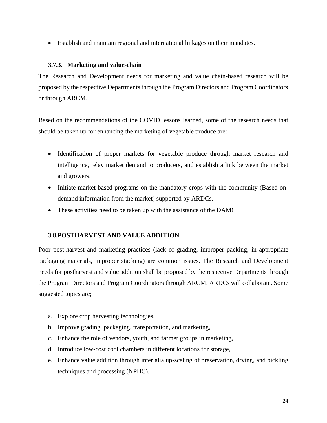• Establish and maintain regional and international linkages on their mandates.

# <span id="page-25-0"></span>**3.7.3. Marketing and value-chain**

The Research and Development needs for marketing and value chain-based research will be proposed by the respective Departments through the Program Directors and Program Coordinators or through ARCM.

Based on the recommendations of the COVID lessons learned, some of the research needs that should be taken up for enhancing the marketing of vegetable produce are:

- Identification of proper markets for vegetable produce through market research and intelligence, relay market demand to producers, and establish a link between the market and growers.
- Initiate market-based programs on the mandatory crops with the community (Based ondemand information from the market) supported by ARDCs.
- These activities need to be taken up with the assistance of the DAMC

# <span id="page-25-1"></span>**3.8.POSTHARVEST AND VALUE ADDITION**

Poor post-harvest and marketing practices (lack of grading, improper packing, in appropriate packaging materials, improper stacking) are common issues. The Research and Development needs for postharvest and value addition shall be proposed by the respective Departments through the Program Directors and Program Coordinators through ARCM. ARDCs will collaborate. Some suggested topics are;

- a. Explore crop harvesting technologies,
- b. Improve grading, packaging, transportation, and marketing,
- c. Enhance the role of vendors, youth, and farmer groups in marketing,
- d. Introduce low-cost cool chambers in different locations for storage,
- e. Enhance value addition through inter alia up-scaling of preservation, drying, and pickling techniques and processing (NPHC),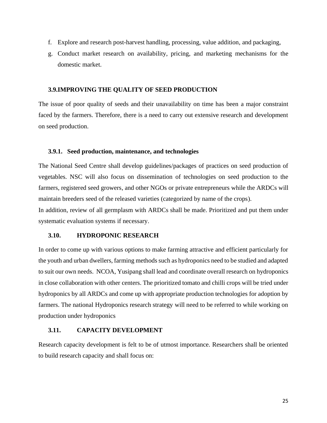- f. Explore and research post-harvest handling, processing, value addition, and packaging,
- g. Conduct market research on availability, pricing, and marketing mechanisms for the domestic market.

### <span id="page-26-0"></span>**3.9.IMPROVING THE QUALITY OF SEED PRODUCTION**

The issue of poor quality of seeds and their unavailability on time has been a major constraint faced by the farmers. Therefore, there is a need to carry out extensive research and development on seed production.

#### <span id="page-26-1"></span>**3.9.1. Seed production, maintenance, and technologies**

The National Seed Centre shall develop guidelines/packages of practices on seed production of vegetables. NSC will also focus on dissemination of technologies on seed production to the farmers, registered seed growers, and other NGOs or private entrepreneurs while the ARDCs will maintain breeders seed of the released varieties (categorized by name of the crops).

In addition, review of all germplasm with ARDCs shall be made. Prioritized and put them under systematic evaluation systems if necessary.

## <span id="page-26-2"></span>**3.10. HYDROPONIC RESEARCH**

In order to come up with various options to make farming attractive and efficient particularly for the youth and urban dwellers, farming methods such as hydroponics need to be studied and adapted to suit our own needs. NCOA, Yusipang shall lead and coordinate overall research on hydroponics in close collaboration with other centers. The prioritized tomato and chilli crops will be tried under hydroponics by all ARDCs and come up with appropriate production technologies for adoption by farmers. The national Hydroponics research strategy will need to be referred to while working on production under hydroponics

### <span id="page-26-3"></span>**3.11. CAPACITY DEVELOPMENT**

Research capacity development is felt to be of utmost importance. Researchers shall be oriented to build research capacity and shall focus on: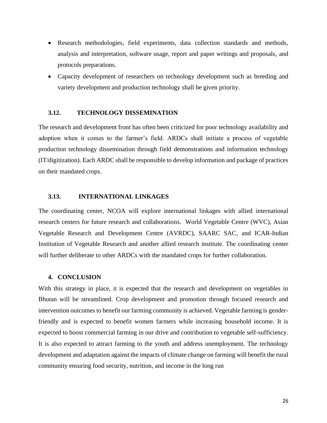- Research methodologies, field experiments, data collection standards and methods, analysis and interpretation, software usage, report and paper writings and proposals, and protocols preparations.
- Capacity development of researchers on technology development such as breeding and variety development and production technology shall be given priority.

# <span id="page-27-0"></span>**3.12. TECHNOLOGY DISSEMINATION**

The research and development front has often been criticized for poor technology availability and adoption when it comes to the farmer's field. ARDCs shall initiate a process of vegetable production technology dissemination through field demonstrations and information technology (IT/digitization). Each ARDC shall be responsible to develop information and package of practices on their mandated crops.

### <span id="page-27-1"></span>**3.13. INTERNATIONAL LINKAGES**

The coordinating center, NCOA will explore international linkages with allied international research centers for future research and collaborations. World Vegetable Centre (WVC), Asian Vegetable Research and Development Centre (AVRDC), SAARC SAC, and ICAR-Indian Institution of Vegetable Research and another allied research institute. The coordinating center will further deliberate to other ARDCs with the mandated crops for further collaboration.

#### <span id="page-27-2"></span>**4. CONCLUSION**

With this strategy in place, it is expected that the research and development on vegetables in Bhutan will be streamlined. Crop development and promotion through focused research and intervention outcomes to benefit our farming community is achieved. Vegetable farming is genderfriendly and is expected to benefit women farmers while increasing household income. It is expected to boost commercial farming in our drive and contribution to vegetable self-sufficiency. It is also expected to attract farming to the youth and address unemployment. The technology development and adaptation against the impacts of climate change on farming will benefit the rural community ensuring food security, nutrition, and income in the long run